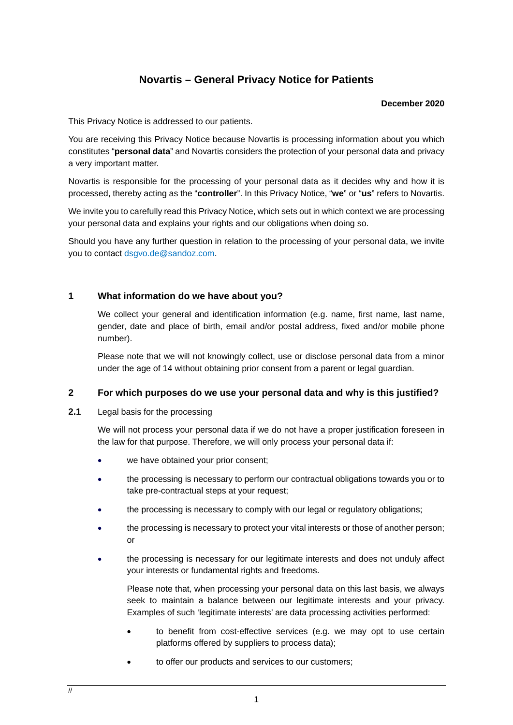# **Novartis – General Privacy Notice for Patients**

#### **December 2020**

This Privacy Notice is addressed to our patients.

You are receiving this Privacy Notice because Novartis is processing information about you which constitutes "**personal data**" and Novartis considers the protection of your personal data and privacy a very important matter.

Novartis is responsible for the processing of your personal data as it decides why and how it is processed, thereby acting as the "**controller**". In this Privacy Notice, "**we**" or "**us**" refers to Novartis.

We invite you to carefully read this Privacy Notice, which sets out in which context we are processing your personal data and explains your rights and our obligations when doing so.

Should you have any further question in relation to the processing of your personal data, we invite you to contact [dsgvo.de@sandoz.com.](mailto:dsgvo.de@sandoz.com)

## **1 What information do we have about you?**

We collect your general and identification information (e.g. name, first name, last name, gender, date and place of birth, email and/or postal address, fixed and/or mobile phone number).

Please note that we will not knowingly collect, use or disclose personal data from a minor under the age of 14 without obtaining prior consent from a parent or legal guardian.

## **2 For which purposes do we use your personal data and why is this justified?**

#### **2.1** Legal basis for the processing

We will not process your personal data if we do not have a proper justification foreseen in the law for that purpose. Therefore, we will only process your personal data if:

- we have obtained your prior consent;
- the processing is necessary to perform our contractual obligations towards you or to take pre-contractual steps at your request;
- the processing is necessary to comply with our legal or regulatory obligations;
- the processing is necessary to protect your vital interests or those of another person; or
- the processing is necessary for our legitimate interests and does not unduly affect your interests or fundamental rights and freedoms.

Please note that, when processing your personal data on this last basis, we always seek to maintain a balance between our legitimate interests and your privacy. Examples of such 'legitimate interests' are data processing activities performed:

- to benefit from cost-effective services (e.g. we may opt to use certain platforms offered by suppliers to process data);
- to offer our products and services to our customers;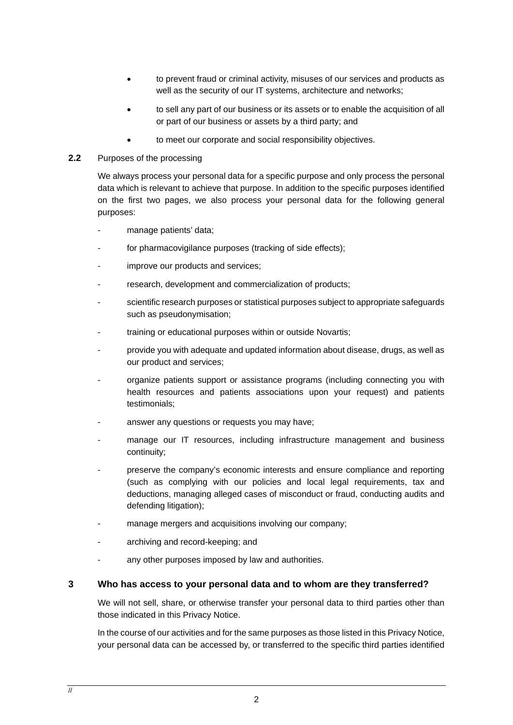- to prevent fraud or criminal activity, misuses of our services and products as well as the security of our IT systems, architecture and networks;
- to sell any part of our business or its assets or to enable the acquisition of all or part of our business or assets by a third party; and
- to meet our corporate and social responsibility objectives.
- **2.2** Purposes of the processing

We always process your personal data for a specific purpose and only process the personal data which is relevant to achieve that purpose. In addition to the specific purposes identified on the first two pages, we also process your personal data for the following general purposes:

- manage patients' data;
- for pharmacovigilance purposes (tracking of side effects);
- improve our products and services;
- research, development and commercialization of products;
- scientific research purposes or statistical purposes subject to appropriate safeguards such as pseudonymisation;
- training or educational purposes within or outside Novartis;
- provide you with adequate and updated information about disease, drugs, as well as our product and services;
- organize patients support or assistance programs (including connecting you with health resources and patients associations upon your request) and patients testimonials;
- answer any questions or requests you may have;
- manage our IT resources, including infrastructure management and business continuity;
- preserve the company's economic interests and ensure compliance and reporting (such as complying with our policies and local legal requirements, tax and deductions, managing alleged cases of misconduct or fraud, conducting audits and defending litigation);
- manage mergers and acquisitions involving our company;
- archiving and record-keeping; and
- any other purposes imposed by law and authorities.

# **3 Who has access to your personal data and to whom are they transferred?**

We will not sell, share, or otherwise transfer your personal data to third parties other than those indicated in this Privacy Notice.

In the course of our activities and for the same purposes as those listed in this Privacy Notice, your personal data can be accessed by, or transferred to the specific third parties identified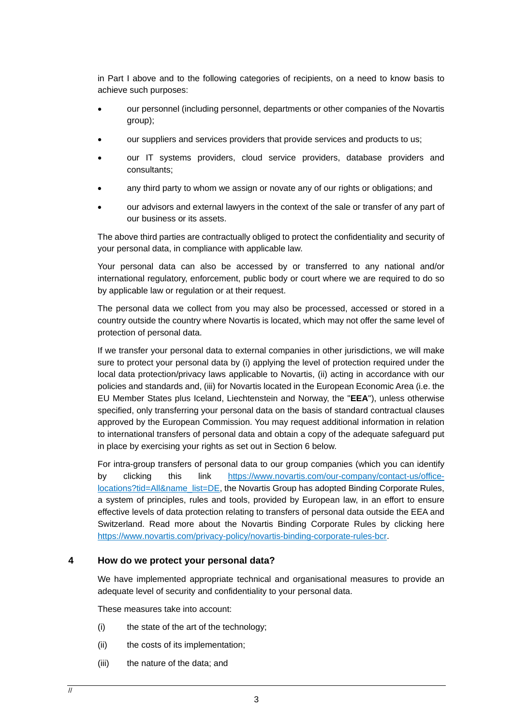in Part I above and to the following categories of recipients, on a need to know basis to achieve such purposes:

- our personnel (including personnel, departments or other companies of the Novartis group);
- our suppliers and services providers that provide services and products to us;
- our IT systems providers, cloud service providers, database providers and consultants;
- any third party to whom we assign or novate any of our rights or obligations; and
- our advisors and external lawyers in the context of the sale or transfer of any part of our business or its assets.

The above third parties are contractually obliged to protect the confidentiality and security of your personal data, in compliance with applicable law.

Your personal data can also be accessed by or transferred to any national and/or international regulatory, enforcement, public body or court where we are required to do so by applicable law or regulation or at their request.

The personal data we collect from you may also be processed, accessed or stored in a country outside the country where Novartis is located, which may not offer the same level of protection of personal data.

If we transfer your personal data to external companies in other jurisdictions, we will make sure to protect your personal data by (i) applying the level of protection required under the local data protection/privacy laws applicable to Novartis, (ii) acting in accordance with our policies and standards and, (iii) for Novartis located in the European Economic Area (i.e. the EU Member States plus Iceland, Liechtenstein and Norway, the "**EEA**"), unless otherwise specified, only transferring your personal data on the basis of standard contractual clauses approved by the European Commission. You may request additional information in relation to international transfers of personal data and obtain a copy of the adequate safeguard put in place by exercising your rights as set out in Section [6](#page-3-0) below.

For intra-group transfers of personal data to our group companies (which you can identify by clicking this link [https://www.novartis.com/our-company/contact-us/office](https://www.novartis.com/our-company/contact-us/office-locations?tid=All&name_list=DE)[locations?tid=All&name\\_list=DE,](https://www.novartis.com/our-company/contact-us/office-locations?tid=All&name_list=DE) the Novartis Group has adopted Binding Corporate Rules, a system of principles, rules and tools, provided by European law, in an effort to ensure effective levels of data protection relating to transfers of personal data outside the EEA and Switzerland. Read more about the Novartis Binding Corporate Rules by clicking here [https://www.novartis.com/privacy-policy/novartis-binding-corporate-rules-bcr.](https://www.novartis.com/privacy-policy/novartis-binding-corporate-rules-bcr)

#### **4 How do we protect your personal data?**

We have implemented appropriate technical and organisational measures to provide an adequate level of security and confidentiality to your personal data.

These measures take into account:

- (i) the state of the art of the technology;
- (ii) the costs of its implementation;
- (iii) the nature of the data; and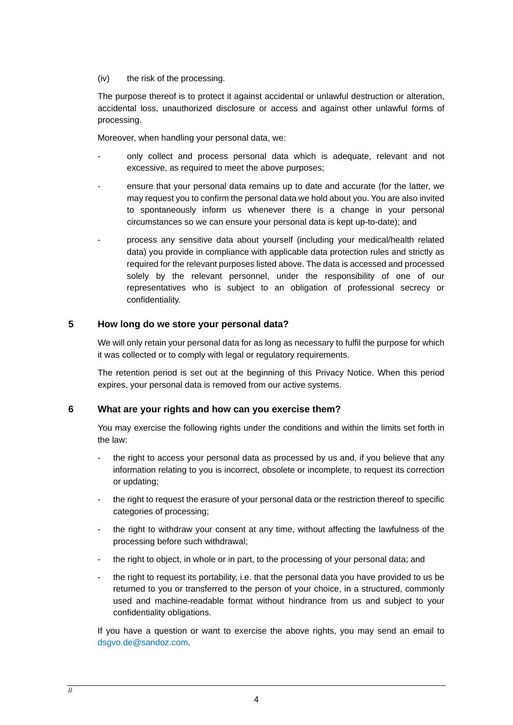(iv) the risk of the processing.

The purpose thereof is to protect it against accidental or unlawful destruction or alteration, accidental loss, unauthorized disclosure or access and against other unlawful forms of processing.

Moreover, when handling your personal data, we:

- only collect and process personal data which is adequate, relevant and not excessive, as required to meet the above purposes;
- ensure that your personal data remains up to date and accurate (for the latter, we may request you to confirm the personal data we hold about you. You are also invited to spontaneously inform us whenever there is a change in your personal circumstances so we can ensure your personal data is kept up-to-date); and
- process any sensitive data about yourself (including your medical/health related data) you provide in compliance with applicable data protection rules and strictly as required for the relevant purposes listed above. The data is accessed and processed solely by the relevant personnel, under the responsibility of one of our representatives who is subject to an obligation of professional secrecy or confidentiality.

# **5 How long do we store your personal data?**

We will only retain your personal data for as long as necessary to fulfil the purpose for which it was collected or to comply with legal or regulatory requirements.

The retention period is set out at the beginning of this Privacy Notice. When this period expires, your personal data is removed from our active systems.

#### <span id="page-3-0"></span>**6 What are your rights and how can you exercise them?**

You may exercise the following rights under the conditions and within the limits set forth in the law:

- the right to access your personal data as processed by us and, if you believe that any information relating to you is incorrect, obsolete or incomplete, to request its correction or updating;
- the right to request the erasure of your personal data or the restriction thereof to specific categories of processing;
- the right to withdraw your consent at any time, without affecting the lawfulness of the processing before such withdrawal;
- the right to object, in whole or in part, to the processing of your personal data; and
- the right to request its portability, i.e. that the personal data you have provided to us be returned to you or transferred to the person of your choice, in a structured, commonly used and machine-readable format without hindrance from us and subject to your confidentiality obligations.

If you have a question or want to exercise the above rights, you may send an email to [dsgvo.de@sandoz.com.](mailto:dsgvo.de@sandoz.com)